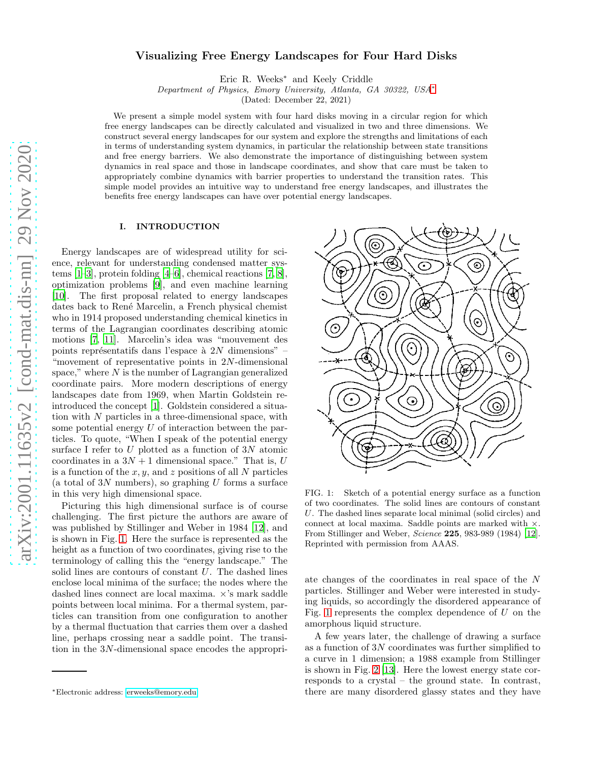# Visualizing Free Energy Landscapes for Four Hard Disks

Eric R. Weeks<sup>∗</sup> and Keely Criddle

*Department of Physics, Emory University, Atlanta, GA 30322, USA*[∗](#page-0-0)

(Dated: December 22, 2021)

We present a simple model system with four hard disks moving in a circular region for which free energy landscapes can be directly calculated and visualized in two and three dimensions. We construct several energy landscapes for our system and explore the strengths and limitations of each in terms of understanding system dynamics, in particular the relationship between state transitions and free energy barriers. We also demonstrate the importance of distinguishing between system dynamics in real space and those in landscape coordinates, and show that care must be taken to appropriately combine dynamics with barrier properties to understand the transition rates. This simple model provides an intuitive way to understand free energy landscapes, and illustrates the benefits free energy landscapes can have over potential energy landscapes.

### I. INTRODUCTION

Energy landscapes are of widespread utility for science, relevant for understanding condensed matter systems [\[1](#page-8-0)[–3\]](#page-8-1), protein folding [\[4](#page-9-0)[–6](#page-9-1)], chemical reactions [\[7](#page-9-2), [8\]](#page-9-3), optimization problems [\[9](#page-9-4)], and even machine learning [\[10\]](#page-9-5). The first proposal related to energy landscapes dates back to René Marcelin, a French physical chemist who in 1914 proposed understanding chemical kinetics in terms of the Lagrangian coordinates describing atomic motions [\[7,](#page-9-2) [11\]](#page-9-6). Marcelin's idea was "mouvement des points représentatifs dans l'espace à  $2N$  dimensions" – "movement of representative points in 2N-dimensional space," where  $N$  is the number of Lagrangian generalized coordinate pairs. More modern descriptions of energy landscapes date from 1969, when Martin Goldstein reintroduced the concept [\[1](#page-8-0)]. Goldstein considered a situation with  $N$  particles in a three-dimensional space, with some potential energy  $U$  of interaction between the particles. To quote, "When I speak of the potential energy surface I refer to  $U$  plotted as a function of  $3N$  atomic coordinates in a  $3N + 1$  dimensional space." That is, U is a function of the  $x, y$ , and z positions of all N particles (a total of  $3N$  numbers), so graphing U forms a surface in this very high dimensional space.

Picturing this high dimensional surface is of course challenging. The first picture the authors are aware of was published by Stillinger and Weber in 1984 [\[12\]](#page-9-7), and is shown in Fig. [1.](#page-0-1) Here the surface is represented as the height as a function of two coordinates, giving rise to the terminology of calling this the "energy landscape." The solid lines are contours of constant  $U$ . The dashed lines enclose local minima of the surface; the nodes where the dashed lines connect are local maxima. ×'s mark saddle points between local minima. For a thermal system, particles can transition from one configuration to another by a thermal fluctuation that carries them over a dashed line, perhaps crossing near a saddle point. The transition in the 3N-dimensional space encodes the appropri-



<span id="page-0-1"></span>FIG. 1: Sketch of a potential energy surface as a function of two coordinates. The solid lines are contours of constant U. The dashed lines separate local minimal (solid circles) and connect at local maxima. Saddle points are marked with ×. From Stillinger and Weber, *Science* 225, 983-989 (1984) [\[12\]](#page-9-7). Reprinted with permission from AAAS.

ate changes of the coordinates in real space of the N particles. Stillinger and Weber were interested in studying liquids, so accordingly the disordered appearance of Fig. [1](#page-0-1) represents the complex dependence of  $U$  on the amorphous liquid structure.

A few years later, the challenge of drawing a surface as a function of  $3N$  coordinates was further simplified to a curve in 1 dimension; a 1988 example from Stillinger is shown in Fig. [2](#page-1-0) [\[13\]](#page-9-8). Here the lowest energy state corresponds to a crystal – the ground state. In contrast, there are many disordered glassy states and they have

<span id="page-0-0"></span><sup>∗</sup>Electronic address: [erweeks@emory.edu](mailto:erweeks@emory.edu)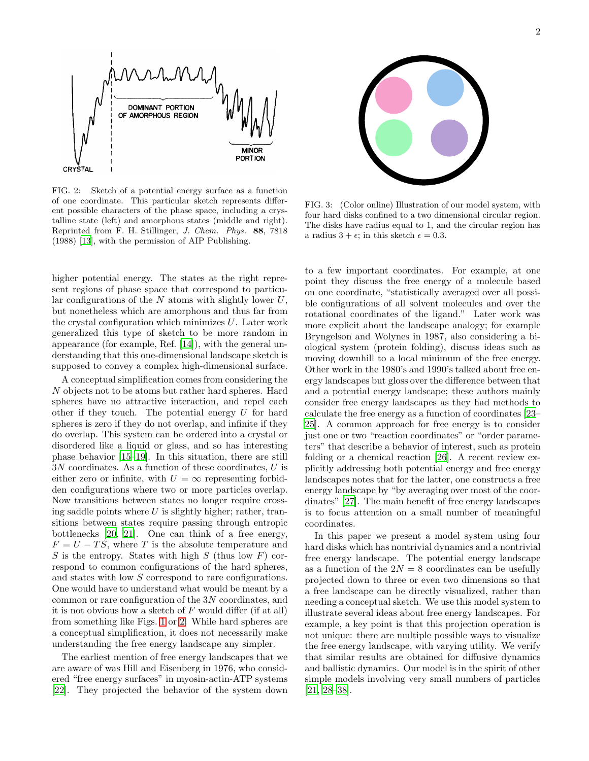

<span id="page-1-0"></span>FIG. 2: Sketch of a potential energy surface as a function of one coordinate. This particular sketch represents different possible characters of the phase space, including a crystalline state (left) and amorphous states (middle and right). Reprinted from F. H. Stillinger, *J. Chem. Phys.* 88, 7818 (1988) [\[13](#page-9-8)], with the permission of AIP Publishing.

higher potential energy. The states at the right represent regions of phase space that correspond to particular configurations of the  $N$  atoms with slightly lower  $U$ , but nonetheless which are amorphous and thus far from the crystal configuration which minimizes  $U$ . Later work generalized this type of sketch to be more random in appearance (for example, Ref. [\[14](#page-9-9)]), with the general understanding that this one-dimensional landscape sketch is supposed to convey a complex high-dimensional surface.

A conceptual simplification comes from considering the N objects not to be atoms but rather hard spheres. Hard spheres have no attractive interaction, and repel each other if they touch. The potential energy  $U$  for hard spheres is zero if they do not overlap, and infinite if they do overlap. This system can be ordered into a crystal or disordered like a liquid or glass, and so has interesting phase behavior [\[15](#page-9-10)[–19\]](#page-9-11). In this situation, there are still  $3N$  coordinates. As a function of these coordinates,  $U$  is either zero or infinite, with  $U = \infty$  representing forbidden configurations where two or more particles overlap. Now transitions between states no longer require crossing saddle points where  $U$  is slightly higher; rather, transitions between states require passing through entropic bottlenecks [\[20,](#page-9-12) [21\]](#page-9-13). One can think of a free energy,  $F = U - TS$ , where T is the absolute temperature and  $S$  is the entropy. States with high  $S$  (thus low  $F$ ) correspond to common configurations of the hard spheres, and states with low S correspond to rare configurations. One would have to understand what would be meant by a common or rare configuration of the 3N coordinates, and it is not obvious how a sketch of  $F$  would differ (if at all) from something like Figs. [1](#page-0-1) or [2.](#page-1-0) While hard spheres are a conceptual simplification, it does not necessarily make understanding the free energy landscape any simpler.

The earliest mention of free energy landscapes that we are aware of was Hill and Eisenberg in 1976, who considered "free energy surfaces" in myosin-actin-ATP systems [\[22\]](#page-9-14). They projected the behavior of the system down



FIG. 3: (Color online) Illustration of our model system, with four hard disks confined to a two dimensional circular region. The disks have radius equal to 1, and the circular region has a radius  $3 + \epsilon$ ; in this sketch  $\epsilon = 0.3$ .

<span id="page-1-1"></span>to a few important coordinates. For example, at one point they discuss the free energy of a molecule based on one coordinate, "statistically averaged over all possible configurations of all solvent molecules and over the rotational coordinates of the ligand." Later work was more explicit about the landscape analogy; for example Bryngelson and Wolynes in 1987, also considering a biological system (protein folding), discuss ideas such as moving downhill to a local minimum of the free energy. Other work in the 1980's and 1990's talked about free energy landscapes but gloss over the difference between that and a potential energy landscape; these authors mainly consider free energy landscapes as they had methods to calculate the free energy as a function of coordinates [\[23](#page-9-15)– [25](#page-9-16)]. A common approach for free energy is to consider just one or two "reaction coordinates" or "order parameters" that describe a behavior of interest, such as protein folding or a chemical reaction [\[26\]](#page-9-17). A recent review explicitly addressing both potential energy and free energy landscapes notes that for the latter, one constructs a free energy landscape by "by averaging over most of the coordinates" [\[27\]](#page-9-18). The main benefit of free energy landscapes is to focus attention on a small number of meaningful coordinates.

In this paper we present a model system using four hard disks which has nontrivial dynamics and a nontrivial free energy landscape. The potential energy landscape as a function of the  $2N = 8$  coordinates can be usefully projected down to three or even two dimensions so that a free landscape can be directly visualized, rather than needing a conceptual sketch. We use this model system to illustrate several ideas about free energy landscapes. For example, a key point is that this projection operation is not unique: there are multiple possible ways to visualize the free energy landscape, with varying utility. We verify that similar results are obtained for diffusive dynamics and ballistic dynamics. Our model is in the spirit of other simple models involving very small numbers of particles [\[21,](#page-9-13) [28](#page-9-19)[–38\]](#page-9-20).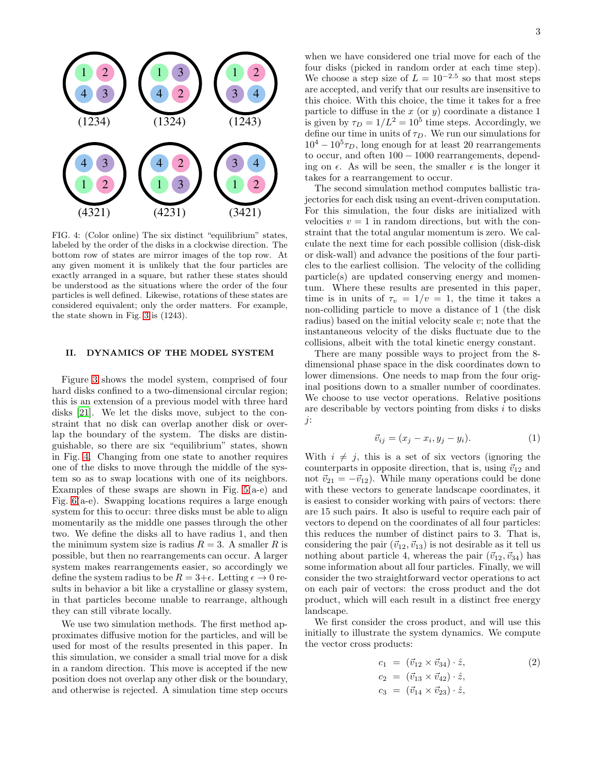

<span id="page-2-0"></span>FIG. 4: (Color online) The six distinct "equilibrium" states, labeled by the order of the disks in a clockwise direction. The bottom row of states are mirror images of the top row. At any given moment it is unlikely that the four particles are exactly arranged in a square, but rather these states should be understood as the situations where the order of the four particles is well defined. Likewise, rotations of these states are considered equivalent; only the order matters. For example, the state shown in Fig. [3](#page-1-1) is (1243).

## II. DYNAMICS OF THE MODEL SYSTEM

Figure [3](#page-1-1) shows the model system, comprised of four hard disks confined to a two-dimensional circular region; this is an extension of a previous model with three hard disks [\[21\]](#page-9-13). We let the disks move, subject to the constraint that no disk can overlap another disk or overlap the boundary of the system. The disks are distinguishable, so there are six "equilibrium" states, shown in Fig. [4.](#page-2-0) Changing from one state to another requires one of the disks to move through the middle of the system so as to swap locations with one of its neighbors. Examples of these swaps are shown in Fig.  $5(a-e)$  and Fig. [6\(](#page-4-0)a-e). Swapping locations requires a large enough system for this to occur: three disks must be able to align momentarily as the middle one passes through the other two. We define the disks all to have radius 1, and then the minimum system size is radius  $R = 3$ . A smaller R is possible, but then no rearrangements can occur. A larger system makes rearrangements easier, so accordingly we define the system radius to be  $R = 3 + \epsilon$ . Letting  $\epsilon \to 0$  results in behavior a bit like a crystalline or glassy system, in that particles become unable to rearrange, although they can still vibrate locally.

We use two simulation methods. The first method approximates diffusive motion for the particles, and will be used for most of the results presented in this paper. In this simulation, we consider a small trial move for a disk in a random direction. This move is accepted if the new position does not overlap any other disk or the boundary, and otherwise is rejected. A simulation time step occurs

when we have considered one trial move for each of the four disks (picked in random order at each time step). We choose a step size of  $L = 10^{-2.5}$  so that most steps are accepted, and verify that our results are insensitive to this choice. With this choice, the time it takes for a free particle to diffuse in the  $x$  (or  $y$ ) coordinate a distance 1 is given by  $\tau_D = 1/L^2 = 10^5$  time steps. Accordingly, we define our time in units of  $\tau_D$ . We run our simulations for  $10^4 - 10^5 \tau_D$ , long enough for at least 20 rearrangements to occur, and often 100 − 1000 rearrangements, depending on  $\epsilon$ . As will be seen, the smaller  $\epsilon$  is the longer it takes for a rearrangement to occur.

The second simulation method computes ballistic trajectories for each disk using an event-driven computation. For this simulation, the four disks are initialized with velocities  $v = 1$  in random directions, but with the constraint that the total angular momentum is zero. We calculate the next time for each possible collision (disk-disk or disk-wall) and advance the positions of the four particles to the earliest collision. The velocity of the colliding particle(s) are updated conserving energy and momentum. Where these results are presented in this paper, time is in units of  $\tau_v = 1/v = 1$ , the time it takes a non-colliding particle to move a distance of 1 (the disk radius) based on the initial velocity scale  $v$ ; note that the instantaneous velocity of the disks fluctuate due to the collisions, albeit with the total kinetic energy constant.

There are many possible ways to project from the 8 dimensional phase space in the disk coordinates down to lower dimensions. One needs to map from the four original positions down to a smaller number of coordinates. We choose to use vector operations. Relative positions are describable by vectors pointing from disks  $i$  to disks j:

$$
\vec{v}_{ij} = (x_j - x_i, y_j - y_i). \tag{1}
$$

With  $i \neq j$ , this is a set of six vectors (ignoring the counterparts in opposite direction, that is, using  $\vec{v}_{12}$  and not  $\vec{v}_{21} = -\vec{v}_{12}$ . While many operations could be done with these vectors to generate landscape coordinates, it is easiest to consider working with pairs of vectors: there are 15 such pairs. It also is useful to require each pair of vectors to depend on the coordinates of all four particles: this reduces the number of distinct pairs to 3. That is, considering the pair  $({\vec v}_{12}, {\vec v}_{13})$  is not desirable as it tell us nothing about particle 4, whereas the pair  $(\vec{v}_{12}, \vec{v}_{34})$  has some information about all four particles. Finally, we will consider the two straightforward vector operations to act on each pair of vectors: the cross product and the dot product, which will each result in a distinct free energy landscape.

We first consider the cross product, and will use this initially to illustrate the system dynamics. We compute the vector cross products:

<span id="page-2-1"></span>
$$
c_1 = (\vec{v}_{12} \times \vec{v}_{34}) \cdot \hat{z},
$$
  
\n
$$
c_2 = (\vec{v}_{13} \times \vec{v}_{42}) \cdot \hat{z},
$$
  
\n
$$
c_3 = (\vec{v}_{14} \times \vec{v}_{23}) \cdot \hat{z},
$$
\n(2)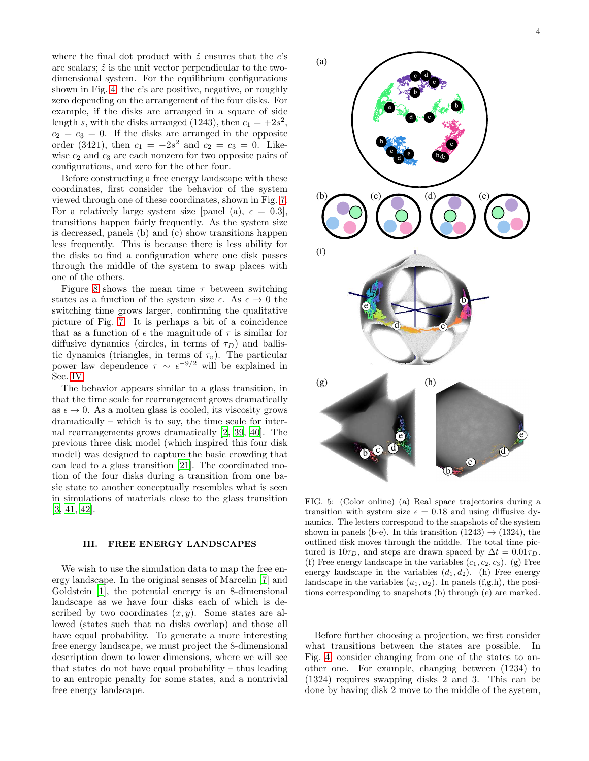where the final dot product with  $\hat{z}$  ensures that the c's are scalars;  $\hat{z}$  is the unit vector perpendicular to the twodimensional system. For the equilibrium configurations shown in Fig. [4,](#page-2-0) the  $c$ 's are positive, negative, or roughly zero depending on the arrangement of the four disks. For example, if the disks are arranged in a square of side length s, with the disks arranged (1243), then  $c_1 = +2s^2$ ,  $c_2 = c_3 = 0$ . If the disks are arranged in the opposite order (3421), then  $c_1 = -2s^2$  and  $c_2 = c_3 = 0$ . Likewise  $c_2$  and  $c_3$  are each nonzero for two opposite pairs of configurations, and zero for the other four.

Before constructing a free energy landscape with these coordinates, first consider the behavior of the system viewed through one of these coordinates, shown in Fig. [7.](#page-4-1) For a relatively large system size [panel (a),  $\epsilon = 0.3$ ], transitions happen fairly frequently. As the system size is decreased, panels (b) and (c) show transitions happen less frequently. This is because there is less ability for the disks to find a configuration where one disk passes through the middle of the system to swap places with one of the others.

Figure [8](#page-4-2) shows the mean time  $\tau$  between switching states as a function of the system size  $\epsilon$ . As  $\epsilon \to 0$  the switching time grows larger, confirming the qualitative picture of Fig. [7.](#page-4-1) It is perhaps a bit of a coincidence that as a function of  $\epsilon$  the magnitude of  $\tau$  is similar for diffusive dynamics (circles, in terms of  $\tau_D$ ) and ballistic dynamics (triangles, in terms of  $\tau_v$ ). The particular power law dependence  $\tau \sim \epsilon^{-9/2}$  will be explained in Sec. [IV.](#page-7-0)

The behavior appears similar to a glass transition, in that the time scale for rearrangement grows dramatically as  $\epsilon \to 0$ . As a molten glass is cooled, its viscosity grows dramatically – which is to say, the time scale for internal rearrangements grows dramatically [\[2,](#page-8-2) [39,](#page-9-21) [40](#page-9-22)]. The previous three disk model (which inspired this four disk model) was designed to capture the basic crowding that can lead to a glass transition [\[21\]](#page-9-13). The coordinated motion of the four disks during a transition from one basic state to another conceptually resembles what is seen in simulations of materials close to the glass transition [\[3,](#page-8-1) [41,](#page-9-23) [42\]](#page-9-24).

#### III. FREE ENERGY LANDSCAPES

We wish to use the simulation data to map the free energy landscape. In the original senses of Marcelin [\[7](#page-9-2)] and Goldstein [\[1\]](#page-8-0), the potential energy is an 8-dimensional landscape as we have four disks each of which is described by two coordinates  $(x, y)$ . Some states are allowed (states such that no disks overlap) and those all have equal probability. To generate a more interesting free energy landscape, we must project the 8-dimensional description down to lower dimensions, where we will see that states do not have equal probability – thus leading to an entropic penalty for some states, and a nontrivial free energy landscape.



<span id="page-3-0"></span>FIG. 5: (Color online) (a) Real space trajectories during a transition with system size  $\epsilon = 0.18$  and using diffusive dynamics. The letters correspond to the snapshots of the system shown in panels (b-e). In this transition  $(1243) \rightarrow (1324)$ , the outlined disk moves through the middle. The total time pictured is  $10\tau_D$ , and steps are drawn spaced by  $\Delta t = 0.01\tau_D$ . (f) Free energy landscape in the variables  $(c_1, c_2, c_3)$ . (g) Free energy landscape in the variables  $(d_1, d_2)$ . (h) Free energy landscape in the variables  $(u_1, u_2)$ . In panels  $(f, g, h)$ , the positions corresponding to snapshots (b) through (e) are marked.

Before further choosing a projection, we first consider what transitions between the states are possible. In Fig. [4,](#page-2-0) consider changing from one of the states to another one. For example, changing between (1234) to (1324) requires swapping disks 2 and 3. This can be done by having disk 2 move to the middle of the system,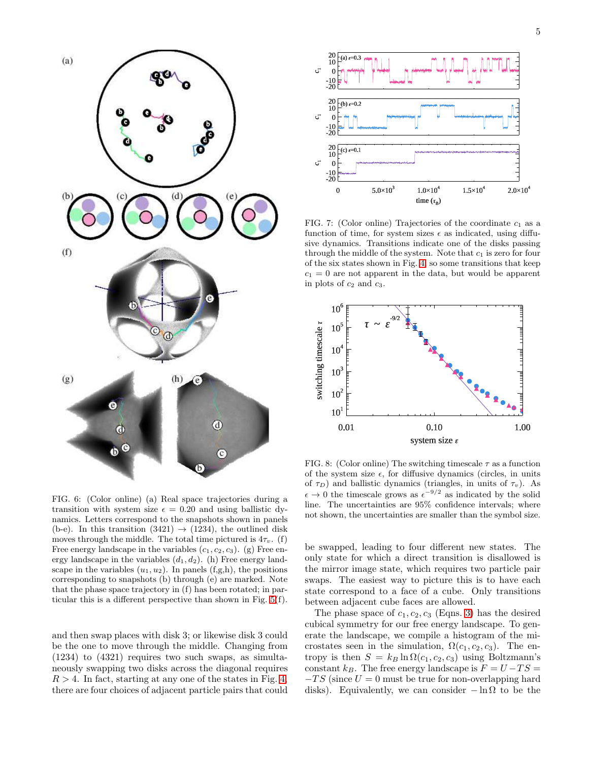

<span id="page-4-0"></span>FIG. 6: (Color online) (a) Real space trajectories during a transition with system size  $\epsilon = 0.20$  and using ballistic dynamics. Letters correspond to the snapshots shown in panels (b-e). In this transition  $(3421) \rightarrow (1234)$ , the outlined disk moves through the middle. The total time pictured is  $4\tau_v$ . (f) Free energy landscape in the variables  $(c_1, c_2, c_3)$ . (g) Free energy landscape in the variables  $(d_1, d_2)$ . (h) Free energy landscape in the variables  $(u_1, u_2)$ . In panels  $(f,g,h)$ , the positions corresponding to snapshots (b) through (e) are marked. Note that the phase space trajectory in (f) has been rotated; in particular this is a different perspective than shown in Fig. [5\(](#page-3-0)f).

and then swap places with disk 3; or likewise disk 3 could be the one to move through the middle. Changing from (1234) to (4321) requires two such swaps, as simultaneously swapping two disks across the diagonal requires  $R > 4$ . In fact, starting at any one of the states in Fig. [4,](#page-2-0) there are four choices of adjacent particle pairs that could



<span id="page-4-1"></span>FIG. 7: (Color online) Trajectories of the coordinate  $c_1$  as a function of time, for system sizes  $\epsilon$  as indicated, using diffusive dynamics. Transitions indicate one of the disks passing through the middle of the system. Note that  $c_1$  is zero for four of the six states shown in Fig. [4,](#page-2-0) so some transitions that keep  $c_1 = 0$  are not apparent in the data, but would be apparent in plots of  $c_2$  and  $c_3$ .



<span id="page-4-2"></span>FIG. 8: (Color online) The switching timescale  $\tau$  as a function of the system size  $\epsilon$ , for diffusive dynamics (circles, in units of  $\tau_D$ ) and ballistic dynamics (triangles, in units of  $\tau_v$ ). As  $\epsilon \to 0$  the timescale grows as  $\epsilon^{-9/2}$  as indicated by the solid line. The uncertainties are 95% confidence intervals; where not shown, the uncertainties are smaller than the symbol size.

be swapped, leading to four different new states. The only state for which a direct transition is disallowed is the mirror image state, which requires two particle pair swaps. The easiest way to picture this is to have each state correspond to a face of a cube. Only transitions between adjacent cube faces are allowed.

The phase space of  $c_1, c_2, c_3$  (Eqns. [3\)](#page-2-1) has the desired cubical symmetry for our free energy landscape. To generate the landscape, we compile a histogram of the microstates seen in the simulation,  $\Omega(c_1, c_2, c_3)$ . The entropy is then  $S = k_B \ln \Omega(c_1, c_2, c_3)$  using Boltzmann's constant  $k_B$ . The free energy landscape is  $F = U - TS =$  $-TS$  (since  $U = 0$  must be true for non-overlapping hard disks). Equivalently, we can consider  $-\ln \Omega$  to be the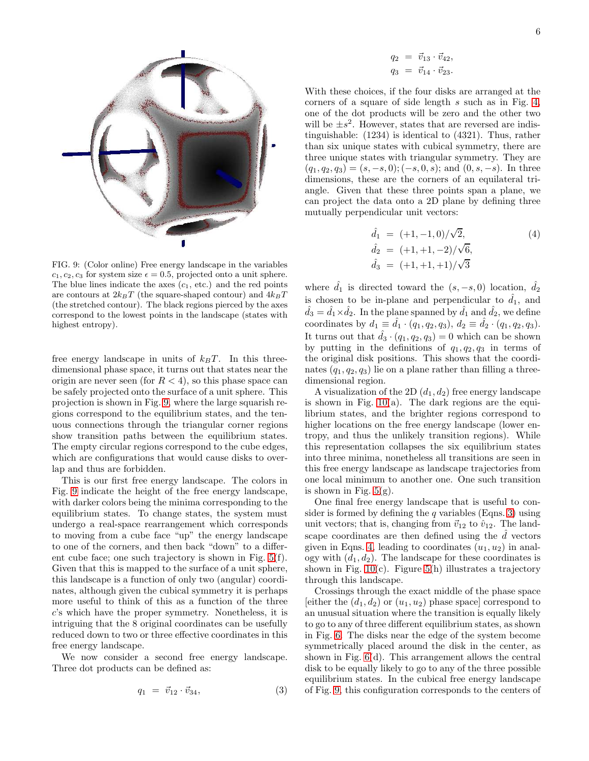

<span id="page-5-0"></span>FIG. 9: (Color online) Free energy landscape in the variables  $c_1, c_2, c_3$  for system size  $\epsilon = 0.5$ , projected onto a unit sphere. The blue lines indicate the axes  $(c_1, etc.)$  and the red points are contours at  $2k_BT$  (the square-shaped contour) and  $4k_BT$ (the stretched contour). The black regions pierced by the axes correspond to the lowest points in the landscape (states with highest entropy).

free energy landscape in units of  $k_BT$ . In this threedimensional phase space, it turns out that states near the origin are never seen (for  $R < 4$ ), so this phase space can be safely projected onto the surface of a unit sphere. This projection is shown in Fig. [9,](#page-5-0) where the large squarish regions correspond to the equilibrium states, and the tenuous connections through the triangular corner regions show transition paths between the equilibrium states. The empty circular regions correspond to the cube edges, which are configurations that would cause disks to overlap and thus are forbidden.

This is our first free energy landscape. The colors in Fig. [9](#page-5-0) indicate the height of the free energy landscape, with darker colors being the minima corresponding to the equilibrium states. To change states, the system must undergo a real-space rearrangement which corresponds to moving from a cube face "up" the energy landscape to one of the corners, and then back "down" to a different cube face; one such trajectory is shown in Fig. [5\(](#page-3-0)f). Given that this is mapped to the surface of a unit sphere, this landscape is a function of only two (angular) coordinates, although given the cubical symmetry it is perhaps more useful to think of this as a function of the three c's which have the proper symmetry. Nonetheless, it is intriguing that the 8 original coordinates can be usefully reduced down to two or three effective coordinates in this free energy landscape.

We now consider a second free energy landscape. Three dot products can be defined as:

<span id="page-5-1"></span>
$$
q_1 = \vec{v}_{12} \cdot \vec{v}_{34}, \tag{3}
$$

$$
q_2 = \vec{v}_{13} \cdot \vec{v}_{42}, q_3 = \vec{v}_{14} \cdot \vec{v}_{23}.
$$

With these choices, if the four disks are arranged at the corners of a square of side length s such as in Fig. [4,](#page-2-0) one of the dot products will be zero and the other two will be  $\pm s^2$ . However, states that are reversed are indistinguishable: (1234) is identical to (4321). Thus, rather than six unique states with cubical symmetry, there are three unique states with triangular symmetry. They are  $(q_1, q_2, q_3) = (s, -s, 0); (-s, 0, s);$  and  $(0, s, -s)$ . In three dimensions, these are the corners of an equilateral triangle. Given that these three points span a plane, we can project the data onto a 2D plane by defining three mutually perpendicular unit vectors:

<span id="page-5-2"></span>
$$
\hat{d}_1 = (+1, -1, 0)/\sqrt{2}, \n\hat{d}_2 = (+1, +1, -2)/\sqrt{6}, \n\hat{d}_3 = (+1, +1, +1)/\sqrt{3}
$$
\n(4)

where  $d_1$  is directed toward the  $(s, -s, 0)$  location,  $d_2$ is chosen to be in-plane and perpendicular to  $d_1$ , and  $\hat{d}_3 = \hat{d}_1 \times \hat{d}_2$ . In the plane spanned by  $\hat{d}_1$  and  $\hat{d}_2$ , we define coordinates by  $d_1 \equiv \hat{d}_1 \cdot (q_1, q_2, q_3), d_2 \equiv \hat{d}_2 \cdot (q_1, q_2, q_3).$ It turns out that  $\hat{d}_3 \cdot (q_1, q_2, q_3) = 0$  which can be shown by putting in the definitions of  $q_1, q_2, q_3$  in terms of the original disk positions. This shows that the coordinates  $(q_1, q_2, q_3)$  lie on a plane rather than filling a threedimensional region.

A visualization of the 2D  $(d_1, d_2)$  free energy landscape is shown in Fig.  $10(a)$ . The dark regions are the equilibrium states, and the brighter regions correspond to higher locations on the free energy landscape (lower entropy, and thus the unlikely transition regions). While this representation collapses the six equilibrium states into three minima, nonetheless all transitions are seen in this free energy landscape as landscape trajectories from one local minimum to another one. One such transition is shown in Fig.  $5(g)$ .

One final free energy landscape that is useful to consider is formed by defining the  $q$  variables (Eqns. [3\)](#page-5-1) using unit vectors; that is, changing from  $\vec{v}_{12}$  to  $\hat{v}_{12}$ . The landscape coordinates are then defined using the  $\tilde{d}$  vectors given in Eqns. [4,](#page-5-2) leading to coordinates  $(u_1, u_2)$  in analogy with  $(d_1, d_2)$ . The landscape for these coordinates is shown in Fig.  $10(c)$ . Figure [5\(](#page-3-0)h) illustrates a trajectory through this landscape.

Crossings through the exact middle of the phase space [either the  $(d_1, d_2)$  or  $(u_1, u_2)$  phase space] correspond to an unusual situation where the transition is equally likely to go to any of three different equilibrium states, as shown in Fig. [6.](#page-4-0) The disks near the edge of the system become symmetrically placed around the disk in the center, as shown in Fig. [6\(](#page-4-0)d). This arrangement allows the central disk to be equally likely to go to any of the three possible equilibrium states. In the cubical free energy landscape of Fig. [9,](#page-5-0) this configuration corresponds to the centers of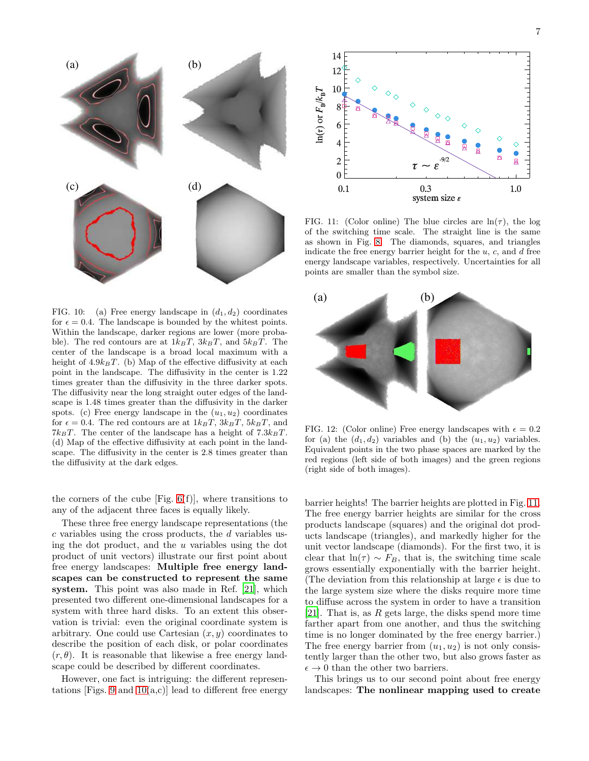

<span id="page-6-0"></span>FIG. 10: (a) Free energy landscape in  $(d_1, d_2)$  coordinates for  $\epsilon = 0.4$ . The landscape is bounded by the whitest points. Within the landscape, darker regions are lower (more probable). The red contours are at  $1k_BT$ ,  $3k_BT$ , and  $5k_BT$ . The center of the landscape is a broad local maximum with a height of  $4.9k_BT$ . (b) Map of the effective diffusivity at each point in the landscape. The diffusivity in the center is 1.22 times greater than the diffusivity in the three darker spots. The diffusivity near the long straight outer edges of the landscape is 1.48 times greater than the diffusivity in the darker spots. (c) Free energy landscape in the  $(u_1, u_2)$  coordinates for  $\epsilon = 0.4$ . The red contours are at  $1k_BT$ ,  $3k_BT$ ,  $5k_BT$ , and  $7k_BT$ . The center of the landscape has a height of  $7.3k_BT$ . (d) Map of the effective diffusivity at each point in the landscape. The diffusivity in the center is 2.8 times greater than the diffusivity at the dark edges.

the corners of the cube  $[Fig. 6(f)]$  $[Fig. 6(f)]$  $[Fig. 6(f)]$ , where transitions to any of the adjacent three faces is equally likely.

These three free energy landscape representations (the  $c$  variables using the cross products, the  $d$  variables using the dot product, and the  $u$  variables using the dot product of unit vectors) illustrate our first point about free energy landscapes: Multiple free energy landscapes can be constructed to represent the same system. This point was also made in Ref. [\[21\]](#page-9-13), which presented two different one-dimensional landscapes for a system with three hard disks. To an extent this observation is trivial: even the original coordinate system is arbitrary. One could use Cartesian  $(x, y)$  coordinates to describe the position of each disk, or polar coordinates  $(r, \theta)$ . It is reasonable that likewise a free energy landscape could be described by different coordinates.

However, one fact is intriguing: the different represen-tations [Figs. [9](#page-5-0) and  $10(a,c)$ ] lead to different free energy



<span id="page-6-1"></span>FIG. 11: (Color online) The blue circles are  $\ln(\tau)$ , the log of the switching time scale. The straight line is the same as shown in Fig. [8.](#page-4-2) The diamonds, squares, and triangles indicate the free energy barrier height for the  $u, c$ , and  $d$  free energy landscape variables, respectively. Uncertainties for all points are smaller than the symbol size.



<span id="page-6-2"></span>FIG. 12: (Color online) Free energy landscapes with  $\epsilon = 0.2$ for (a) the  $(d_1, d_2)$  variables and (b) the  $(u_1, u_2)$  variables. Equivalent points in the two phase spaces are marked by the red regions (left side of both images) and the green regions (right side of both images).

barrier heights! The barrier heights are plotted in Fig. [11.](#page-6-1) The free energy barrier heights are similar for the cross products landscape (squares) and the original dot products landscape (triangles), and markedly higher for the unit vector landscape (diamonds). For the first two, it is clear that  $ln(\tau) \sim F_B$ , that is, the switching time scale grows essentially exponentially with the barrier height. (The deviation from this relationship at large  $\epsilon$  is due to the large system size where the disks require more time to diffuse across the system in order to have a transition [\[21\]](#page-9-13). That is, as  $R$  gets large, the disks spend more time farther apart from one another, and thus the switching time is no longer dominated by the free energy barrier.) The free energy barrier from  $(u_1, u_2)$  is not only consistently larger than the other two, but also grows faster as  $\epsilon \to 0$  than the other two barriers.

This brings us to our second point about free energy landscapes: The nonlinear mapping used to create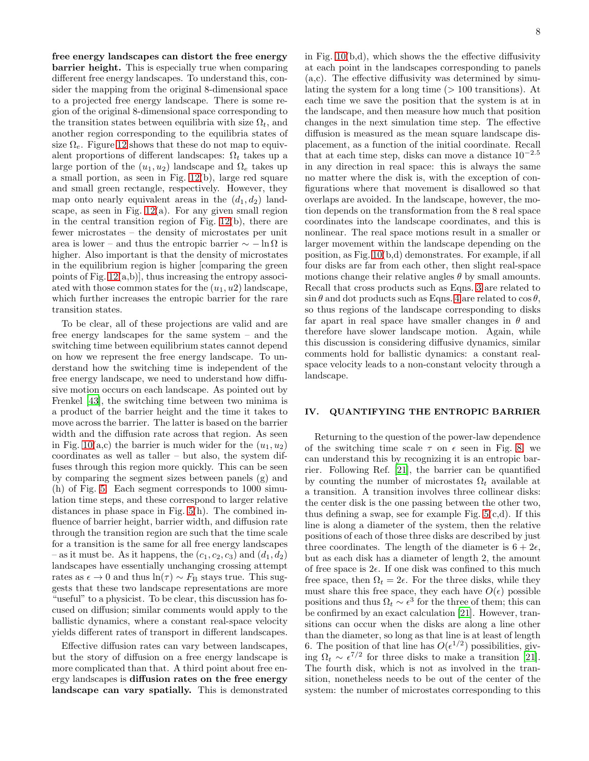free energy landscapes can distort the free energy barrier height. This is especially true when comparing different free energy landscapes. To understand this, consider the mapping from the original 8-dimensional space to a projected free energy landscape. There is some region of the original 8-dimensional space corresponding to the transition states between equilibria with size  $\Omega_t$ , and another region corresponding to the equilibria states of size  $\Omega_e$ . Figure [12](#page-6-2) shows that these do not map to equivalent proportions of different landscapes:  $\Omega_t$  takes up a large portion of the  $(u_1, u_2)$  landscape and  $\Omega_e$  takes up a small portion, as seen in Fig. [12\(](#page-6-2)b), large red square and small green rectangle, respectively. However, they map onto nearly equivalent areas in the  $(d_1, d_2)$  landscape, as seen in Fig.  $12(a)$ . For any given small region in the central transition region of Fig. [12\(](#page-6-2)b), there are fewer microstates – the density of microstates per unit area is lower – and thus the entropic barrier  $\sim -\ln \Omega$  is higher. Also important is that the density of microstates in the equilibrium region is higher [comparing the green points of Fig.  $12(a,b)$ , thus increasing the entropy associ-

ated with those common states for the  $(u_1, u_2)$  landscape, which further increases the entropic barrier for the rare

transition states.

To be clear, all of these projections are valid and are free energy landscapes for the same system – and the switching time between equilibrium states cannot depend on how we represent the free energy landscape. To understand how the switching time is independent of the free energy landscape, we need to understand how diffusive motion occurs on each landscape. As pointed out by Frenkel [\[43](#page-9-25)], the switching time between two minima is a product of the barrier height and the time it takes to move across the barrier. The latter is based on the barrier width and the diffusion rate across that region. As seen in Fig. [10\(](#page-6-0)a,c) the barrier is much wider for the  $(u_1, u_2)$ coordinates as well as taller – but also, the system diffuses through this region more quickly. This can be seen by comparing the segment sizes between panels (g) and (h) of Fig. [5.](#page-3-0) Each segment corresponds to 1000 simulation time steps, and these correspond to larger relative distances in phase space in Fig. [5\(](#page-3-0)h). The combined influence of barrier height, barrier width, and diffusion rate through the transition region are such that the time scale for a transition is the same for all free energy landscapes – as it must be. As it happens, the  $(c_1, c_2, c_3)$  and  $(d_1, d_2)$ landscapes have essentially unchanging crossing attempt rates as  $\epsilon \to 0$  and thus ln( $\tau$ ) ~  $F_B$  stays true. This suggests that these two landscape representations are more "useful" to a physicist. To be clear, this discussion has focused on diffusion; similar comments would apply to the ballistic dynamics, where a constant real-space velocity yields different rates of transport in different landscapes.

Effective diffusion rates can vary between landscapes, but the story of diffusion on a free energy landscape is more complicated than that. A third point about free energy landscapes is diffusion rates on the free energy landscape can vary spatially. This is demonstrated in Fig.  $10(b,d)$ , which shows the the effective diffusivity at each point in the landscapes corresponding to panels (a,c). The effective diffusivity was determined by simulating the system for a long time  $(>100$  transitions). At each time we save the position that the system is at in the landscape, and then measure how much that position changes in the next simulation time step. The effective diffusion is measured as the mean square landscape displacement, as a function of the initial coordinate. Recall that at each time step, disks can move a distance  $10^{-2.5}$ in any direction in real space: this is always the same no matter where the disk is, with the exception of configurations where that movement is disallowed so that overlaps are avoided. In the landscape, however, the motion depends on the transformation from the 8 real space coordinates into the landscape coordinates, and this is nonlinear. The real space motions result in a smaller or larger movement within the landscape depending on the position, as Fig. [10\(](#page-6-0)b,d) demonstrates. For example, if all four disks are far from each other, then slight real-space motions change their relative angles  $\theta$  by small amounts. Recall that cross products such as Eqns. [3](#page-2-1) are related to  $\sin \theta$  and dot products such as Eqns. [4](#page-5-2) are related to  $\cos \theta$ , so thus regions of the landscape corresponding to disks far apart in real space have smaller changes in  $\theta$  and therefore have slower landscape motion. Again, while this discussion is considering diffusive dynamics, similar comments hold for ballistic dynamics: a constant realspace velocity leads to a non-constant velocity through a landscape.

## <span id="page-7-0"></span>IV. QUANTIFYING THE ENTROPIC BARRIER

Returning to the question of the power-law dependence of the switching time scale  $\tau$  on  $\epsilon$  seen in Fig. [8,](#page-4-2) we can understand this by recognizing it is an entropic barrier. Following Ref. [\[21\]](#page-9-13), the barrier can be quantified by counting the number of microstates  $\Omega_t$  available at a transition. A transition involves three collinear disks: the center disk is the one passing between the other two, thus defining a swap, see for example Fig.  $5(c,d)$ . If this line is along a diameter of the system, then the relative positions of each of those three disks are described by just three coordinates. The length of the diameter is  $6 + 2\epsilon$ , but as each disk has a diameter of length 2, the amount of free space is  $2\epsilon$ . If one disk was confined to this much free space, then  $\Omega_t = 2\epsilon$ . For the three disks, while they must share this free space, they each have  $O(\epsilon)$  possible positions and thus  $\Omega_t \sim \epsilon^{3}$  for the three of them; this can be confirmed by an exact calculation [\[21\]](#page-9-13). However, transitions can occur when the disks are along a line other than the diameter, so long as that line is at least of length 6. The position of that line has  $O(\epsilon^{1/2})$  possibilities, giving  $\Omega_t \sim \epsilon^{7/2}$  for three disks to make a transition [\[21\]](#page-9-13). The fourth disk, which is not as involved in the transition, nonetheless needs to be out of the center of the system: the number of microstates corresponding to this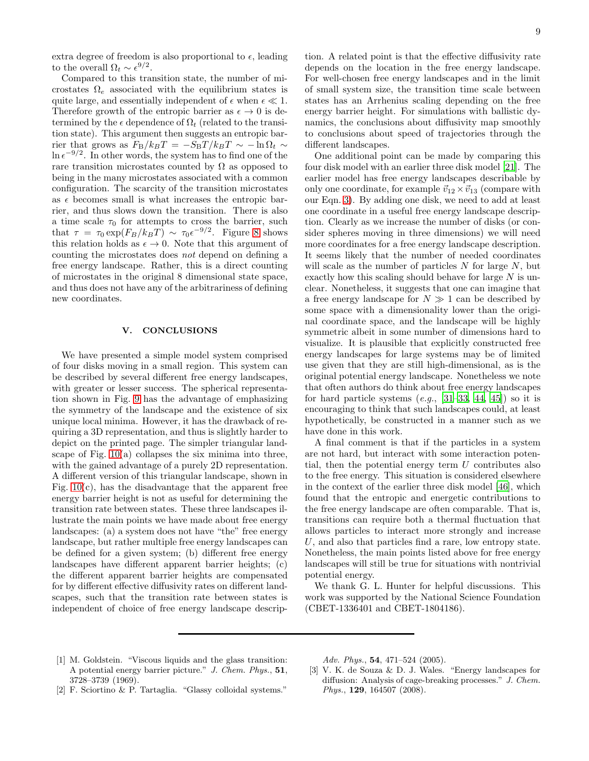extra degree of freedom is also proportional to  $\epsilon$ , leading to the overall  $\Omega_t \sim \epsilon^{9/2}$ .

Compared to this transition state, the number of microstates  $\Omega_e$  associated with the equilibrium states is quite large, and essentially independent of  $\epsilon$  when  $\epsilon \ll 1$ . Therefore growth of the entropic barrier as  $\epsilon \to 0$  is determined by the  $\epsilon$  dependence of  $\Omega_t$  (related to the transition state). This argument then suggests an entropic barrier that grows as  $F_{\rm B}/k_BT = -S_{\rm B}T/k_BT \sim -\ln \Omega_t \sim$  $\ln \epsilon^{-9/2}$ . In other words, the system has to find one of the rare transition microstates counted by  $\Omega$  as opposed to being in the many microstates associated with a common configuration. The scarcity of the transition microstates as  $\epsilon$  becomes small is what increases the entropic barrier, and thus slows down the transition. There is also a time scale  $\tau_0$  for attempts to cross the barrier, such that  $\tau = \tau_0 \exp(F_B/k_B T) \sim \tau_0 \epsilon^{-9/2}$ . Figure [8](#page-4-2) shows this relation holds as  $\epsilon \to 0$ . Note that this argument of counting the microstates does not depend on defining a free energy landscape. Rather, this is a direct counting of microstates in the original 8 dimensional state space, and thus does not have any of the arbitrariness of defining new coordinates.

#### V. CONCLUSIONS

We have presented a simple model system comprised of four disks moving in a small region. This system can be described by several different free energy landscapes, with greater or lesser success. The spherical representation shown in Fig. [9](#page-5-0) has the advantage of emphasizing the symmetry of the landscape and the existence of six unique local minima. However, it has the drawback of requiring a 3D representation, and thus is slightly harder to depict on the printed page. The simpler triangular landscape of Fig.  $10(a)$  collapses the six minima into three, with the gained advantage of a purely 2D representation. A different version of this triangular landscape, shown in Fig.  $10(c)$ , has the disadvantage that the apparent free energy barrier height is not as useful for determining the transition rate between states. These three landscapes illustrate the main points we have made about free energy landscapes: (a) a system does not have "the" free energy landscape, but rather multiple free energy landscapes can be defined for a given system; (b) different free energy landscapes have different apparent barrier heights; (c) the different apparent barrier heights are compensated for by different effective diffusivity rates on different landscapes, such that the transition rate between states is independent of choice of free energy landscape descrip-

tion. A related point is that the effective diffusivity rate depends on the location in the free energy landscape. For well-chosen free energy landscapes and in the limit of small system size, the transition time scale between states has an Arrhenius scaling depending on the free energy barrier height. For simulations with ballistic dynamics, the conclusions about diffusivity map smoothly to conclusions about speed of trajectories through the different landscapes.

One additional point can be made by comparing this four disk model with an earlier three disk model [\[21](#page-9-13)]. The earlier model has free energy landscapes describable by only one coordinate, for example  $\vec{v}_{12} \times \vec{v}_{13}$  (compare with our Eqn. [3\)](#page-2-1). By adding one disk, we need to add at least one coordinate in a useful free energy landscape description. Clearly as we increase the number of disks (or consider spheres moving in three dimensions) we will need more coordinates for a free energy landscape description. It seems likely that the number of needed coordinates will scale as the number of particles  $N$  for large  $N$ , but exactly how this scaling should behave for large  $N$  is unclear. Nonetheless, it suggests that one can imagine that a free energy landscape for  $N \gg 1$  can be described by some space with a dimensionality lower than the original coordinate space, and the landscape will be highly symmetric albeit in some number of dimensions hard to visualize. It is plausible that explicitly constructed free energy landscapes for large systems may be of limited use given that they are still high-dimensional, as is the original potential energy landscape. Nonetheless we note that often authors do think about free energy landscapes for hard particle systems  $(e.g., [31-33, 44, 45])$  $(e.g., [31-33, 44, 45])$  $(e.g., [31-33, 44, 45])$  $(e.g., [31-33, 44, 45])$  $(e.g., [31-33, 44, 45])$  so it is encouraging to think that such landscapes could, at least hypothetically, be constructed in a manner such as we have done in this work.

A final comment is that if the particles in a system are not hard, but interact with some interaction potential, then the potential energy term  $U$  contributes also to the free energy. This situation is considered elsewhere in the context of the earlier three disk model [\[46](#page-10-0)], which found that the entropic and energetic contributions to the free energy landscape are often comparable. That is, transitions can require both a thermal fluctuation that allows particles to interact more strongly and increase U, and also that particles find a rare, low entropy state. Nonetheless, the main points listed above for free energy landscapes will still be true for situations with nontrivial potential energy.

We thank G. L. Hunter for helpful discussions. This work was supported by the National Science Foundation (CBET-1336401 and CBET-1804186).

<span id="page-8-0"></span>[1] M. Goldstein. "Viscous liquids and the glass transition: A potential energy barrier picture." *J. Chem. Phys.*, 51, 3728–3739 (1969).

*Adv. Phys.*, 54, 471–524 (2005).

- <span id="page-8-1"></span>[3] V. K. de Souza & D. J. Wales. "Energy landscapes for diffusion: Analysis of cage-breaking processes." *J. Chem. Phys.*, 129, 164507 (2008).
- <span id="page-8-2"></span>[2] F. Sciortino & P. Tartaglia. "Glassy colloidal systems."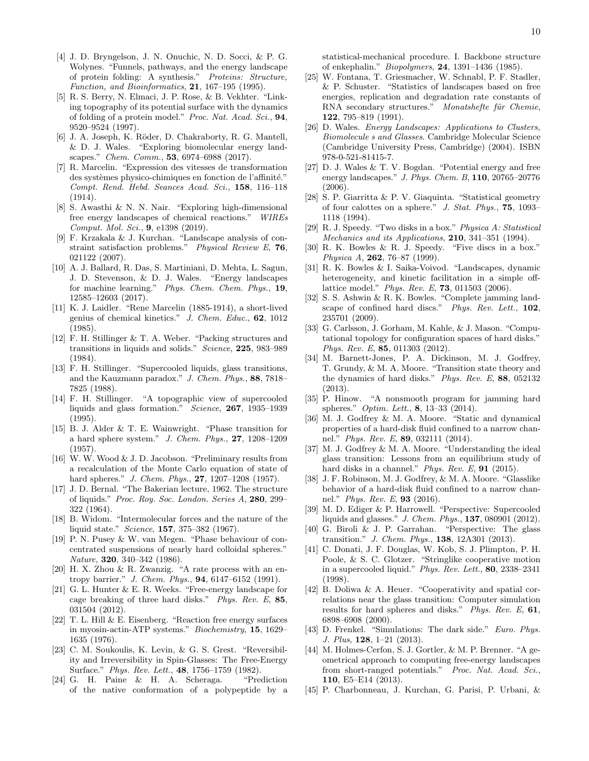- <span id="page-9-0"></span>[4] J. D. Bryngelson, J. N. Onuchic, N. D. Socci, & P. G. Wolynes. "Funnels, pathways, and the energy landscape of protein folding: A synthesis." *Proteins: Structure, Function, and Bioinformatics*, 21, 167–195 (1995).
- [5] R. S. Berry, N. Elmaci, J. P. Rose, & B. Vekhter. "Linking topography of its potential surface with the dynamics of folding of a protein model." *Proc. Nat. Acad. Sci.*, 94, 9520–9524 (1997).
- <span id="page-9-1"></span>[6] J. A. Joseph, K. Röder, D. Chakraborty, R. G. Mantell, & D. J. Wales. "Exploring biomolecular energy landscapes." *Chem. Comm.*, 53, 6974–6988 (2017).
- <span id="page-9-2"></span>[7] R. Marcelin. "Expression des vitesses de transformation des systèmes physico-chimiques en fonction de l'affinité." *Compt. Rend. Hebd. Seances Acad. Sci.*, 158, 116–118 (1914).
- <span id="page-9-3"></span>[8] S. Awasthi & N. N. Nair. "Exploring high-dimensional free energy landscapes of chemical reactions." *WIREs Comput. Mol. Sci.*, 9, e1398 (2019).
- <span id="page-9-4"></span>[9] F. Krzakala & J. Kurchan. "Landscape analysis of constraint satisfaction problems." *Physical Review E*, 76, 021122 (2007).
- <span id="page-9-5"></span>[10] A. J. Ballard, R. Das, S. Martiniani, D. Mehta, L. Sagun, J. D. Stevenson, & D. J. Wales. "Energy landscapes for machine learning." *Phys. Chem. Chem. Phys.*, 19, 12585–12603 (2017).
- <span id="page-9-6"></span>[11] K. J. Laidler. "Rene Marcelin (1885-1914), a short-lived genius of chemical kinetics." *J. Chem. Educ.*, 62, 1012 (1985).
- <span id="page-9-7"></span>[12] F. H. Stillinger & T. A. Weber. "Packing structures and transitions in liquids and solids." *Science*, 225, 983–989 (1984).
- <span id="page-9-8"></span>[13] F. H. Stillinger. "Supercooled liquids, glass transitions, and the Kauzmann paradox." *J. Chem. Phys.*, 88, 7818– 7825 (1988).
- <span id="page-9-9"></span>[14] F. H. Stillinger. "A topographic view of supercooled liquids and glass formation." *Science*, 267, 1935–1939 (1995).
- <span id="page-9-10"></span>[15] B. J. Alder & T. E. Wainwright. "Phase transition for a hard sphere system." *J. Chem. Phys.*, 27, 1208–1209 (1957).
- [16] W. W. Wood & J. D. Jacobson. "Preliminary results from a recalculation of the Monte Carlo equation of state of hard spheres." *J. Chem. Phys.*, 27, 1207–1208 (1957).
- [17] J. D. Bernal. "The Bakerian lecture, 1962. The structure of liquids." *Proc. Roy. Soc. London. Series A*, 280, 299– 322 (1964).
- [18] B. Widom. "Intermolecular forces and the nature of the liquid state." *Science*, 157, 375–382 (1967).
- <span id="page-9-11"></span>[19] P. N. Pusey & W. van Megen. "Phase behaviour of concentrated suspensions of nearly hard colloidal spheres." *Nature*, 320, 340–342 (1986).
- <span id="page-9-12"></span>[20] H. X. Zhou & R. Zwanzig. "A rate process with an entropy barrier." *J. Chem. Phys.*, 94, 6147–6152 (1991).
- <span id="page-9-13"></span>[21] G. L. Hunter & E. R. Weeks. "Free-energy landscape for cage breaking of three hard disks." *Phys. Rev. E*, 85, 031504 (2012).
- <span id="page-9-14"></span>[22] T. L. Hill & E. Eisenberg. "Reaction free energy surfaces in myosin-actin-ATP systems." *Biochemistry*, 15, 1629– 1635 (1976).
- <span id="page-9-15"></span>[23] C. M. Soukoulis, K. Levin, & G. S. Grest. "Reversibility and Irreversibility in Spin-Glasses: The Free-Energy Surface." *Phys. Rev. Lett.*, 48, 1756–1759 (1982).
- [24] G. H. Paine & H. A. Scheraga. "Prediction of the native conformation of a polypeptide by a

statistical-mechanical procedure. I. Backbone structure of enkephalin." *Biopolymers*, 24, 1391–1436 (1985).

- <span id="page-9-16"></span>[25] W. Fontana, T. Griesmacher, W. Schnabl, P. F. Stadler, & P. Schuster. "Statistics of landscapes based on free energies, replication and degradation rate constants of RNA secondary structures." *Monatshefte für Chemie*, 122, 795–819 (1991).
- <span id="page-9-17"></span>[26] D. Wales. *Energy Landscapes: Applications to Clusters, Biomolecule s and Glasses*. Cambridge Molecular Science (Cambridge University Press, Cambridge) (2004). ISBN 978-0-521-81415-7.
- <span id="page-9-18"></span>[27] D. J. Wales & T. V. Bogdan. "Potential energy and free energy landscapes." *J. Phys. Chem. B*, 110, 20765–20776 (2006).
- <span id="page-9-19"></span>[28] S. P. Giarritta & P. V. Giaquinta. "Statistical geometry of four calottes on a sphere." *J. Stat. Phys.*, 75, 1093– 1118 (1994).
- [29] R. J. Speedy. "Two disks in a box." *Physica A: Statistical Mechanics and its Applications*, 210, 341–351 (1994).
- [30] R. K. Bowles & R. J. Speedy. "Five discs in a box." *Physica A*, 262, 76–87 (1999).
- <span id="page-9-26"></span>[31] R. K. Bowles & I. Saika-Voivod. "Landscapes, dynamic heterogeneity, and kinetic facilitation in a simple offlattice model." *Phys. Rev. E*, 73, 011503 (2006).
- [32] S. S. Ashwin & R. K. Bowles. "Complete jamming landscape of confined hard discs." *Phys. Rev. Lett.*, 102, 235701 (2009).
- <span id="page-9-27"></span>[33] G. Carlsson, J. Gorham, M. Kahle, & J. Mason. "Computational topology for configuration spaces of hard disks." *Phys. Rev. E*, 85, 011303 (2012).
- [34] M. Barnett-Jones, P. A. Dickinson, M. J. Godfrey, T. Grundy, & M. A. Moore. "Transition state theory and the dynamics of hard disks." *Phys. Rev. E*, 88, 052132 (2013).
- [35] P. Hinow. "A nonsmooth program for jamming hard spheres." *Optim. Lett.*, 8, 13–33 (2014).
- [36] M. J. Godfrey & M. A. Moore. "Static and dynamical properties of a hard-disk fluid confined to a narrow channel." *Phys. Rev. E*, 89, 032111 (2014).
- [37] M. J. Godfrey & M. A. Moore. "Understanding the ideal glass transition: Lessons from an equilibrium study of hard disks in a channel." *Phys. Rev. E*, 91 (2015).
- <span id="page-9-20"></span>[38] J. F. Robinson, M. J. Godfrey, & M. A. Moore. "Glasslike behavior of a hard-disk fluid confined to a narrow channel." *Phys. Rev. E*, 93 (2016).
- <span id="page-9-21"></span>[39] M. D. Ediger & P. Harrowell. "Perspective: Supercooled liquids and glasses." *J. Chem. Phys.*, 137, 080901 (2012).
- <span id="page-9-22"></span>[40] G. Biroli & J. P. Garrahan. "Perspective: The glass transition." *J. Chem. Phys.*, 138, 12A301 (2013).
- <span id="page-9-23"></span>[41] C. Donati, J. F. Douglas, W. Kob, S. J. Plimpton, P. H. Poole, & S. C. Glotzer. "Stringlike cooperative motion in a supercooled liquid." *Phys. Rev. Lett.*, 80, 2338–2341 (1998).
- <span id="page-9-24"></span>[42] B. Doliwa & A. Heuer. "Cooperativity and spatial correlations near the glass transition: Computer simulation results for hard spheres and disks." *Phys. Rev. E*, 61, 6898–6908 (2000).
- <span id="page-9-25"></span>[43] D. Frenkel. "Simulations: The dark side." *Euro. Phys. J. Plus*, 128, 1–21 (2013).
- <span id="page-9-28"></span>[44] M. Holmes-Cerfon, S. J. Gortler, & M. P. Brenner. "A geometrical approach to computing free-energy landscapes from short-ranged potentials." *Proc. Nat. Acad. Sci.*, 110, E5–E14 (2013).
- <span id="page-9-29"></span>[45] P. Charbonneau, J. Kurchan, G. Parisi, P. Urbani, &